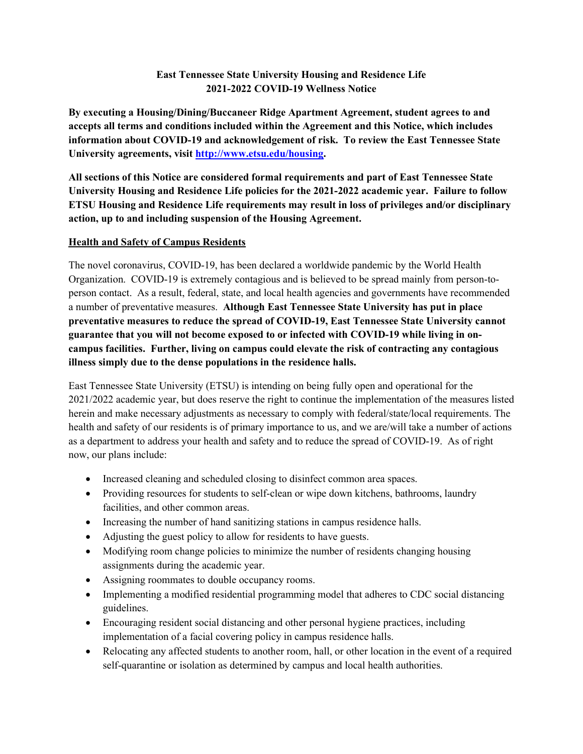# **East Tennessee State University Housing and Residence Life 2021-2022 COVID-19 Wellness Notice**

**By executing a Housing/Dining/Buccaneer Ridge Apartment Agreement, student agrees to and accepts all terms and conditions included within the Agreement and this Notice, which includes information about COVID-19 and acknowledgement of risk. To review the East Tennessee State University agreements, visit http://www.etsu.edu/housing.** 

**All sections of this Notice are considered formal requirements and part of East Tennessee State University Housing and Residence Life policies for the 2021-2022 academic year. Failure to follow ETSU Housing and Residence Life requirements may result in loss of privileges and/or disciplinary action, up to and including suspension of the Housing Agreement.** 

#### **Health and Safety of Campus Residents**

The novel coronavirus, COVID-19, has been declared a worldwide pandemic by the World Health Organization. COVID-19 is extremely contagious and is believed to be spread mainly from person-toperson contact. As a result, federal, state, and local health agencies and governments have recommended a number of preventative measures. **Although East Tennessee State University has put in place preventative measures to reduce the spread of COVID-19, East Tennessee State University cannot guarantee that you will not become exposed to or infected with COVID-19 while living in oncampus facilities. Further, living on campus could elevate the risk of contracting any contagious illness simply due to the dense populations in the residence halls.** 

East Tennessee State University (ETSU) is intending on being fully open and operational for the 2021/2022 academic year, but does reserve the right to continue the implementation of the measures listed herein and make necessary adjustments as necessary to comply with federal/state/local requirements. The health and safety of our residents is of primary importance to us, and we are/will take a number of actions as a department to address your health and safety and to reduce the spread of COVID-19. As of right now, our plans include:

- Increased cleaning and scheduled closing to disinfect common area spaces.
- Providing resources for students to self-clean or wipe down kitchens, bathrooms, laundry facilities, and other common areas.
- Increasing the number of hand sanitizing stations in campus residence halls.
- Adjusting the guest policy to allow for residents to have guests.
- Modifying room change policies to minimize the number of residents changing housing assignments during the academic year.
- Assigning roommates to double occupancy rooms.
- Implementing a modified residential programming model that adheres to CDC social distancing guidelines.
- Encouraging resident social distancing and other personal hygiene practices, including implementation of a facial covering policy in campus residence halls.
- Relocating any affected students to another room, hall, or other location in the event of a required self-quarantine or isolation as determined by campus and local health authorities.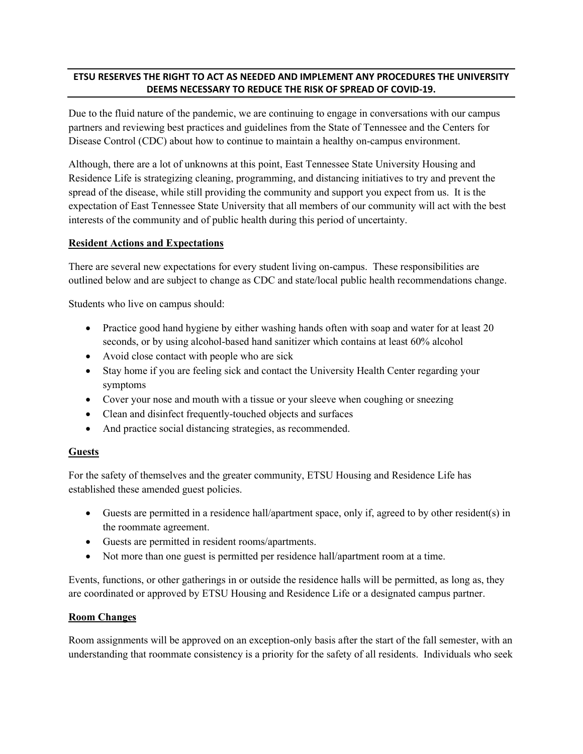## **ETSU RESERVES THE RIGHT TO ACT AS NEEDED AND IMPLEMENT ANY PROCEDURES THE UNIVERSITY DEEMS NECESSARY TO REDUCE THE RISK OF SPREAD OF COVID-19.**

Due to the fluid nature of the pandemic, we are continuing to engage in conversations with our campus partners and reviewing best practices and guidelines from the State of Tennessee and the Centers for Disease Control (CDC) about how to continue to maintain a healthy on-campus environment.

Although, there are a lot of unknowns at this point, East Tennessee State University Housing and Residence Life is strategizing cleaning, programming, and distancing initiatives to try and prevent the spread of the disease, while still providing the community and support you expect from us. It is the expectation of East Tennessee State University that all members of our community will act with the best interests of the community and of public health during this period of uncertainty.

#### **Resident Actions and Expectations**

There are several new expectations for every student living on-campus. These responsibilities are outlined below and are subject to change as CDC and state/local public health recommendations change.

Students who live on campus should:

- Practice good hand hygiene by either washing hands often with soap and water for at least 20 seconds, or by using alcohol-based hand sanitizer which contains at least 60% alcohol
- Avoid close contact with people who are sick
- Stay home if you are feeling sick and contact the University Health Center regarding your symptoms
- Cover your nose and mouth with a tissue or your sleeve when coughing or sneezing
- Clean and disinfect frequently-touched objects and surfaces
- And practice social distancing strategies, as recommended.

#### **Guests**

For the safety of themselves and the greater community, ETSU Housing and Residence Life has established these amended guest policies.

- Guests are permitted in a residence hall/apartment space, only if, agreed to by other resident(s) in the roommate agreement.
- Guests are permitted in resident rooms/apartments.
- Not more than one guest is permitted per residence hall/apartment room at a time.

Events, functions, or other gatherings in or outside the residence halls will be permitted, as long as, they are coordinated or approved by ETSU Housing and Residence Life or a designated campus partner.

#### **Room Changes**

Room assignments will be approved on an exception-only basis after the start of the fall semester, with an understanding that roommate consistency is a priority for the safety of all residents. Individuals who seek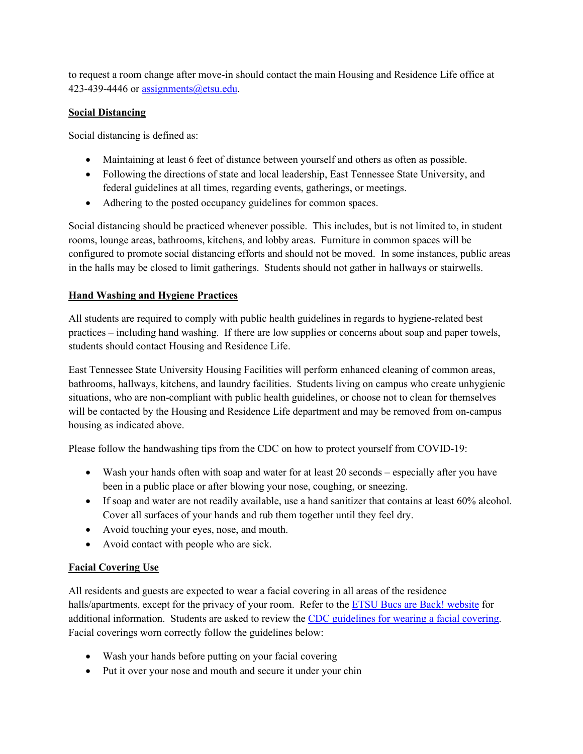to request a room change after move-in should contact the main Housing and Residence Life office at 423-439-4446 or assignments@etsu.edu.

## **Social Distancing**

Social distancing is defined as:

- Maintaining at least 6 feet of distance between yourself and others as often as possible.
- Following the directions of state and local leadership, East Tennessee State University, and federal guidelines at all times, regarding events, gatherings, or meetings.
- Adhering to the posted occupancy guidelines for common spaces.

Social distancing should be practiced whenever possible. This includes, but is not limited to, in student rooms, lounge areas, bathrooms, kitchens, and lobby areas. Furniture in common spaces will be configured to promote social distancing efforts and should not be moved. In some instances, public areas in the halls may be closed to limit gatherings. Students should not gather in hallways or stairwells.

# **Hand Washing and Hygiene Practices**

All students are required to comply with public health guidelines in regards to hygiene-related best practices – including hand washing. If there are low supplies or concerns about soap and paper towels, students should contact Housing and Residence Life.

East Tennessee State University Housing Facilities will perform enhanced cleaning of common areas, bathrooms, hallways, kitchens, and laundry facilities. Students living on campus who create unhygienic situations, who are non-compliant with public health guidelines, or choose not to clean for themselves will be contacted by the Housing and Residence Life department and may be removed from on-campus housing as indicated above.

Please follow the handwashing tips from the CDC on how to protect yourself from COVID-19:

- Wash your hands often with soap and water for at least 20 seconds especially after you have been in a public place or after blowing your nose, coughing, or sneezing.
- If soap and water are not readily available, use a hand sanitizer that contains at least 60% alcohol. Cover all surfaces of your hands and rub them together until they feel dry.
- Avoid touching your eyes, nose, and mouth.
- Avoid contact with people who are sick.

## **Facial Covering Use**

All residents and guests are expected to wear a facial covering in all areas of the residence halls/apartments, except for the privacy of your room. Refer to the ETSU Bucs are Back! website for additional information. Students are asked to review the CDC guidelines for wearing a facial covering. Facial coverings worn correctly follow the guidelines below:

- Wash your hands before putting on your facial covering
- Put it over your nose and mouth and secure it under your chin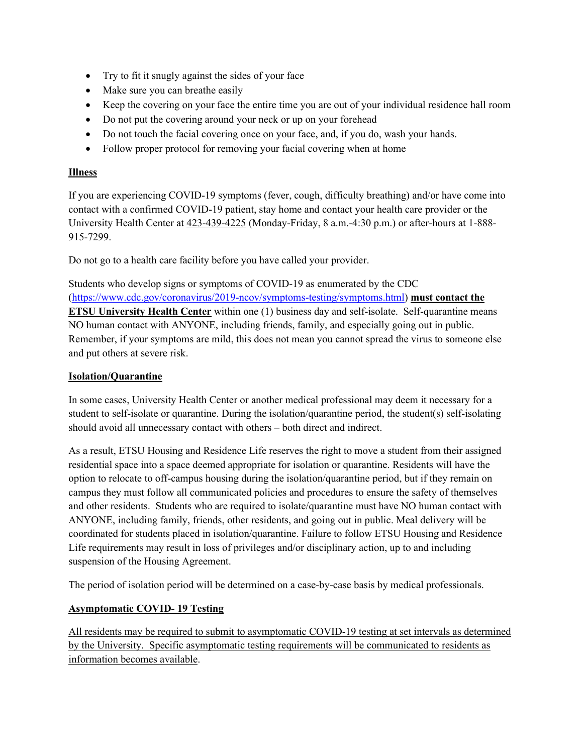- Try to fit it snugly against the sides of your face
- Make sure you can breathe easily
- Keep the covering on your face the entire time you are out of your individual residence hall room
- Do not put the covering around your neck or up on your forehead
- Do not touch the facial covering once on your face, and, if you do, wash your hands.
- Follow proper protocol for removing your facial covering when at home

## **Illness**

If you are experiencing COVID-19 symptoms (fever, cough, difficulty breathing) and/or have come into contact with a confirmed COVID-19 patient, stay home and contact your health care provider or the University Health Center at 423-439-4225 (Monday-Friday, 8 a.m.-4:30 p.m.) or after-hours at 1-888- 915-7299.

Do not go to a health care facility before you have called your provider.

Students who develop signs or symptoms of COVID-19 as enumerated by the CDC (https://www.cdc.gov/coronavirus/2019-ncov/symptoms-testing/symptoms.html) **must contact the ETSU University Health Center** within one (1) business day and self-isolate. Self-quarantine means NO human contact with ANYONE, including friends, family, and especially going out in public. Remember, if your symptoms are mild, this does not mean you cannot spread the virus to someone else and put others at severe risk.

## **Isolation/Quarantine**

In some cases, University Health Center or another medical professional may deem it necessary for a student to self-isolate or quarantine. During the isolation/quarantine period, the student(s) self-isolating should avoid all unnecessary contact with others – both direct and indirect.

As a result, ETSU Housing and Residence Life reserves the right to move a student from their assigned residential space into a space deemed appropriate for isolation or quarantine. Residents will have the option to relocate to off-campus housing during the isolation/quarantine period, but if they remain on campus they must follow all communicated policies and procedures to ensure the safety of themselves and other residents. Students who are required to isolate/quarantine must have NO human contact with ANYONE, including family, friends, other residents, and going out in public. Meal delivery will be coordinated for students placed in isolation/quarantine. Failure to follow ETSU Housing and Residence Life requirements may result in loss of privileges and/or disciplinary action, up to and including suspension of the Housing Agreement.

The period of isolation period will be determined on a case-by-case basis by medical professionals.

## **Asymptomatic COVID- 19 Testing**

All residents may be required to submit to asymptomatic COVID-19 testing at set intervals as determined by the University. Specific asymptomatic testing requirements will be communicated to residents as information becomes available.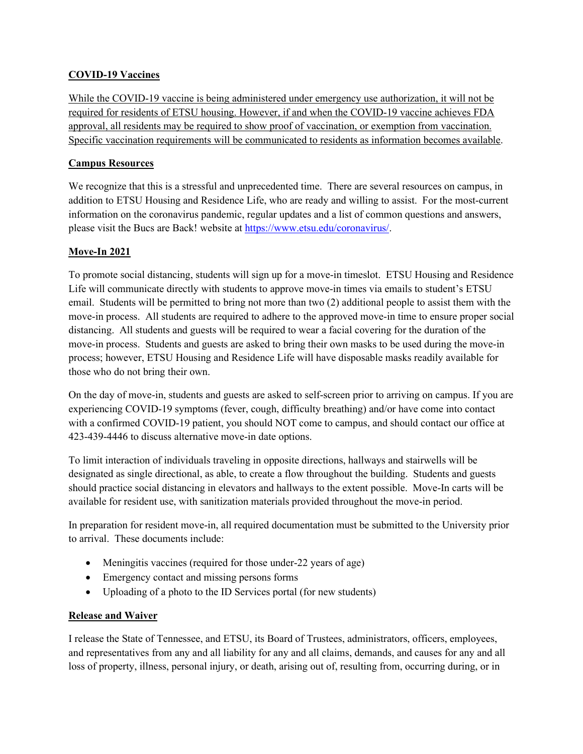## **COVID-19 Vaccines**

While the COVID-19 vaccine is being administered under emergency use authorization, it will not be required for residents of ETSU housing. However, if and when the COVID-19 vaccine achieves FDA approval, all residents may be required to show proof of vaccination, or exemption from vaccination. Specific vaccination requirements will be communicated to residents as information becomes available.

## **Campus Resources**

We recognize that this is a stressful and unprecedented time. There are several resources on campus, in addition to ETSU Housing and Residence Life, who are ready and willing to assist. For the most-current information on the coronavirus pandemic, regular updates and a list of common questions and answers, please visit the Bucs are Back! website at https://www.etsu.edu/coronavirus/.

# **Move-In 2021**

To promote social distancing, students will sign up for a move-in timeslot. ETSU Housing and Residence Life will communicate directly with students to approve move-in times via emails to student's ETSU email. Students will be permitted to bring not more than two (2) additional people to assist them with the move-in process. All students are required to adhere to the approved move-in time to ensure proper social distancing. All students and guests will be required to wear a facial covering for the duration of the move-in process. Students and guests are asked to bring their own masks to be used during the move-in process; however, ETSU Housing and Residence Life will have disposable masks readily available for those who do not bring their own.

On the day of move-in, students and guests are asked to self-screen prior to arriving on campus. If you are experiencing COVID-19 symptoms (fever, cough, difficulty breathing) and/or have come into contact with a confirmed COVID-19 patient, you should NOT come to campus, and should contact our office at 423-439-4446 to discuss alternative move-in date options.

To limit interaction of individuals traveling in opposite directions, hallways and stairwells will be designated as single directional, as able, to create a flow throughout the building. Students and guests should practice social distancing in elevators and hallways to the extent possible. Move-In carts will be available for resident use, with sanitization materials provided throughout the move-in period.

In preparation for resident move-in, all required documentation must be submitted to the University prior to arrival. These documents include:

- Meningitis vaccines (required for those under-22 years of age)
- Emergency contact and missing persons forms
- Uploading of a photo to the ID Services portal (for new students)

## **Release and Waiver**

I release the State of Tennessee, and ETSU, its Board of Trustees, administrators, officers, employees, and representatives from any and all liability for any and all claims, demands, and causes for any and all loss of property, illness, personal injury, or death, arising out of, resulting from, occurring during, or in